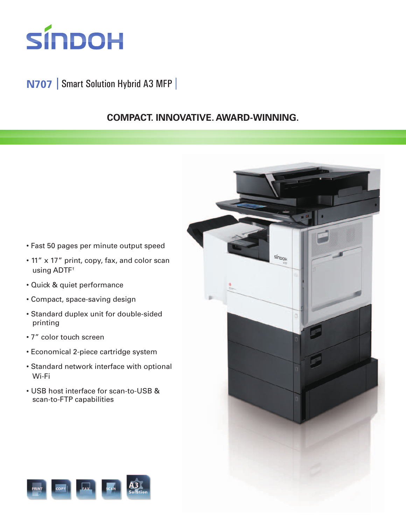

## **N707** Smart Solution Hybrid A3 MFP

## **COMPACT. INNOVATIVE. AWARD-WINNING.**

sín<sub>boh</sub>

- Fast 50 pages per minute output speed
- 11" x 17" print, copy, fax, and color scan using ADTF†
- Quick & quiet performance
- Compact, space-saving design
- Standard duplex unit for double-sided printing
- 7" color touch screen
- Economical 2-piece cartridge system
- Standard network interface with optional Wi-Fi
- USB host interface for scan-to-USB & scan-to-FTP capabilities